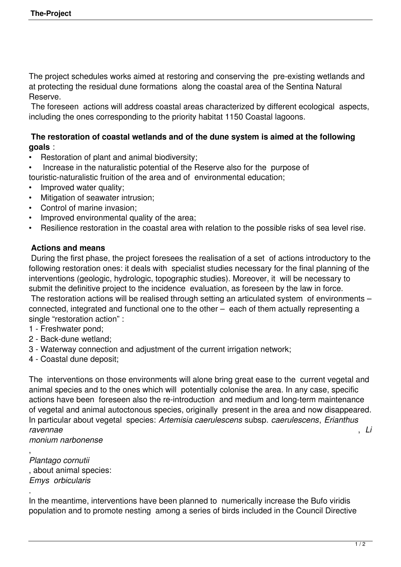The project schedules works aimed at restoring and conserving the pre-existing wetlands and at protecting the residual dune formations along the coastal area of the Sentina Natural Reserve.

 The foreseen actions will address coastal areas characterized by different ecological aspects, including the ones corresponding to the priority habitat 1150 Coastal lagoons.

## **The restoration of coastal wetlands and of the dune system is aimed at the following goals** :

- Restoration of plant and animal biodiversity;
- Increase in the naturalistic potential of the Reserve also for the purpose of touristic-naturalistic fruition of the area and of environmental education;
- 
- Improved water quality;
- Mitigation of seawater intrusion;
- Control of marine invasion;
- Improved environmental quality of the area;
- Resilience restoration in the coastal area with relation to the possible risks of sea level rise.

## **Actions and means**

 During the first phase, the project foresees the realisation of a set of actions introductory to the following restoration ones: it deals with specialist studies necessary for the final planning of the interventions (geologic, hydrologic, topographic studies). Moreover, it will be necessary to submit the definitive project to the incidence evaluation, as foreseen by the law in force.

 The restoration actions will be realised through setting an articulated system of environments – connected, integrated and functional one to the other – each of them actually representing a single "restoration action" :

- 1 Freshwater pond;
- 2 Back-dune wetland;
- 3 Waterway connection and adjustment of the current irrigation network;
- 4 Coastal dune deposit;

The interventions on those environments will alone bring great ease to the current vegetal and animal species and to the ones which will potentially colonise the area. In any case, specific actions have been foreseen also the re-introduction and medium and long-term maintenance of vegetal and animal autoctonous species, originally present in the area and now disappeared. In particular about vegetal species: *Artemisia caerulescens* subsp. *caerulescens*, *Erianthus ravennae* , *Li*

*monium narbonense*

, *Plantago cornutii* , about animal species: *Emys orbicularis*

.

In the meantime, interventions have been planned to numerically increase the Bufo viridis population and to promote nesting among a series of birds included in the Council Directive